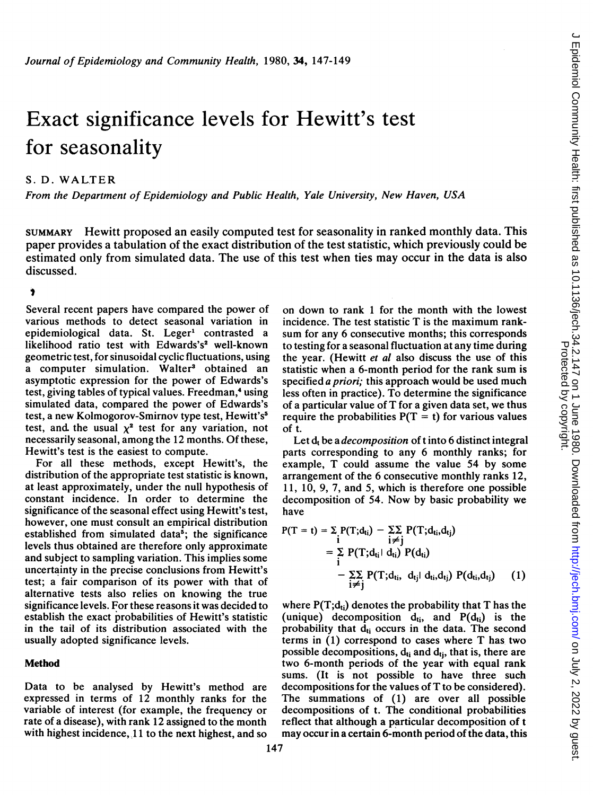# Exact significance levels for Hewitt's test for seasonality

## S. D. WALTER

From the Department of Epidemiology and Public Health, Yale University, New Haven, USA

SUMMARY Hewitt proposed an easily computed test for seasonality in ranked monthly data. This paper provides a tabulation of the exact distribution of the test statistic, which previously could be estimated only from simulated data. The use of this test when ties may occur in the data is also discussed.

#### Ť

Several recent papers have compared the power of various methods to detect seasonal variation in epidemiological data. St. Leger' contrasted a likelihood ratio test with Edwards's<sup>2</sup> well-known geometric test, for sinusoidal cyclic fluctuations, using a computer simulation. Walter<sup>3</sup> obtained an asymptotic expression for the power of Edwards's test, giving tables of typical values. Freedman,<sup>4</sup> using simulated data, compared the power of Edwards's test, a new Kolmogorov-Smirnov type test, Hewitt's5 test, and the usual  $\chi^2$  test for any variation, not necessarily seasonal, among the 12 months. Of these, Hewitt's test is the easiest to compute.

For all these methods, except Hewitt's, the distribution of the appropriate test statistic is known, at least approximately, under the null hypothesis of constant incidence. In order to determine the significance of the seasonal effect using Hewitt's test, however, one must consult an empirical distribution established from simulated data<sup>5</sup>; the significance levels thus obtained are therefore only approximate and subject to sampling variation. This implies some uncertainty in the precise conclusions from Hewitt's test; a fair comparison of its power with that of alternative tests also relies on knowing the true significance levels. For these reasons it was decided to establish the exact probabilities of Hewitt's statistic in the tail of its distribution associated with the usually adopted significance levels.

### Method

Data to be analysed by Hewitt's method are expressed in terms of 12 monthly ranks for the variable of interest (for example, the frequency or rate of a disease), with rank 12 assigned to the month with highest incidence,  $11$  to the next highest, and so

on down to rank <sup>1</sup> for the month with the lowest incidence. The test statistic T is the maximum ranksum for any 6 consecutive months; this corresponds to testing for a seasonal fluctuation at any time during the year. (Hewitt et al also discuss the use of this statistic when a 6-month period for the rank sum is specified *a priori*; this approach would be used much less often in practice). To determine the significance of <sup>a</sup> particular value of T for <sup>a</sup> given data set, we thus require the probabilities  $P(T = t)$  for various values of t.

Let  $d_t$  be a *decomposition* of t into 6 distinct integral parts corresponding to any 6 monthly ranks; for example, T could assume the value 54 by some arrangement of the 6 consecutive monthly ranks 12, 11, 10, 9, 7, and 5, which is therefore one possible decomposition of 54. Now by basic probability we have

$$
P(T = t) = \sum_{i} P(T; d_{ti}) - \sum_{i \neq j} P(T; d_{ti}, d_{tj})
$$
  
= 
$$
\sum_{i} P(T; d_{ti} | d_{ti}) P(d_{ti})
$$
  
- 
$$
\sum_{i \neq j} P(T; d_{ti}, d_{tj} | d_{ti}, d_{tj}) P(d_{ti}, d_{tj})
$$
 (1)

where  $P(T; d_{ti})$  denotes the probability that T has the (unique) decomposition  $d_{ti}$ , and  $P(d_{ti})$  is the probability that  $d_{ti}$  occurs in the data. The second terms in (1) correspond to cases where T has two possible decompositions,  $d_{ti}$  and  $d_{ti}$ , that is, there are two 6-month periods of the year with equal rank sums. (It is not possible to have three such decompositions for the values of T to be considered). The summations of (1) are over all possible decompositions of t. The conditional probabilities reflect that although a particular decomposition of <sup>t</sup> may occur in a certain 6-month period of the data, this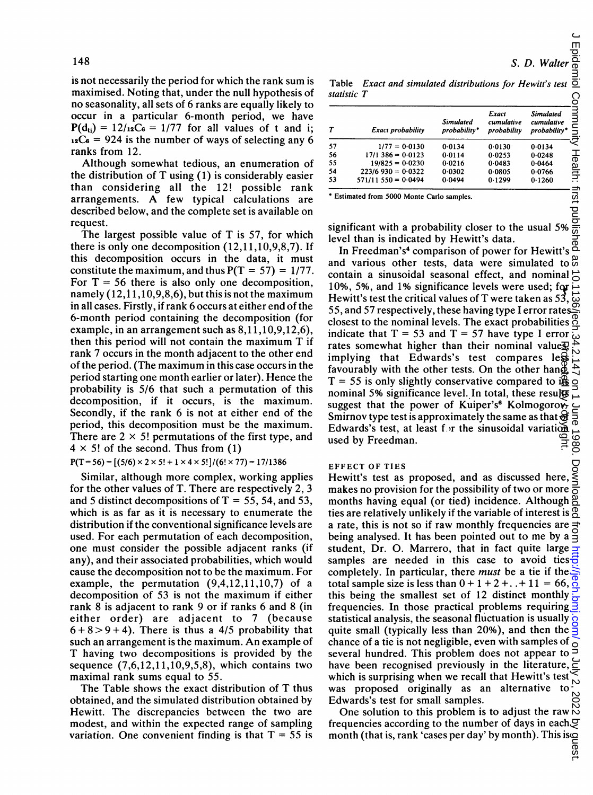is not necessarily the period for which the rank sum is maximised. Noting that, under the null hypothesis of no seasonality, all sets of 6 ranks are equally likely to occur in a particular 6-month period, we have  $P(d_{ti}) = 12/\frac{12}{G} = 1/77$  for all values of t and i;  $_{12}C_6$  = 924 is the number of ways of selecting any 6 ranks from 12.

Although somewhat tedious, an enumeration of the distribution of T using (1) is considerably easier than considering all the 12! possible rank arrangements. A few typical calculations are described below, and the complete set is available on request.

The largest possible value of T is 57, for which there is only one decomposition (12,11,10,9,8,7). If this decomposition occurs in the data, it must constitute the maximum, and thus  $P(T = 57) = 1/77$ . For  $T = 56$  there is also only one decomposition, namely (12,11,10,9,8,6), but this is not the maximum in all cases. Firstly, if rank 6 occurs at either end of the 6-month period containing the decomposition (for example, in an arrangement such as 8,11,10,9,12,6), then this period will not contain the maximum T if rank 7 occurs in the month adjacent to the other end of the period. (The maximum in this case occurs in the period starting one month earlier or later). Hence the probability is 5/6 that such a permutation of this decomposition, if it occurs, is the maximum. Secondly, if the rank 6 is not at either end of the period, this decomposition must be the maximum. There are  $2 \times 5!$  permutations of the first type, and  $4 \times 5!$  of the second. Thus from (1)

 $P(T=56) = [(5/6) \times 2 \times 5! + 1 \times 4 \times 5!] / (6! \times 77) = 17/1386$ 

Similar, although more complex, working applies for the other values of T. There are respectively 2, 3 and 5 distinct decompositions of  $T = 55$ , 54, and 53, which is as far as it is necessary to enumerate the distribution if the conventional significance levels are used. For each permutation of each decomposition, one must consider the possible adjacent ranks (if any), and their associated probabilities, which would cause the decomposition not to be the maximum. For example, the permutation (9,4,12,11,10,7) of a decomposition of 53 is not the maximum if either rank 8 is adjacent to rank 9 or if ranks 6 and 8 (in either order) are adjacent to 7 (because  $6 + 8 > 9 + 4$ ). There is thus a 4/5 probability that such an arrangement is the maximum. An example of T having two decompositions is provided by the sequence  $(7,6,12,11,10,9,5,8)$ , which contains two maximal rank sums equal to 55.

The Table shows the exact distribution of T thus obtained, and the simulated distribution obtained by Hewitt. The discrepancies between the two are modest, and within the expected range of sampling variation. One convenient finding is that  $T = 55$  is

Table Exact and simulated distributions for Hewitt's test statistic T

| Т  | <b>Exact probability</b> | <b>Simulated</b><br>probability* | Exact<br>cumulative<br>probability | <b>Simulated</b><br>cumulative<br>probability* |
|----|--------------------------|----------------------------------|------------------------------------|------------------------------------------------|
| 57 | $1/77 = 0.0130$          | 0.0134                           | 0.0130                             | 0.0134                                         |
| 56 | $17/1$ 386 = 0.0123      | 0.0114                           | 0.0253                             | 0.0248                                         |
| 55 | $19/825 = 0.0230$        | 0.0216                           | 0.0483                             | 0.0464                                         |
| 54 | $223/6930 = 0.0322$      | 0.0302                           | 0.0805                             | 0.0766                                         |
| 53 | $571/11550 = 0.0494$     | 0.0494                           | 0.1299                             | 0.1260                                         |

\* Estimated from 5000 Monte Carlo samples.

significant with <sup>a</sup> probability closer to the usual 5% level than is indicated by Hewitt's data.

In Freedman's<sup>4</sup> comparison of power for Hewitt's and various other tests, data were simulated to  $\frac{\omega}{\omega}$ contain a sinusoidal seasonal effect, and nominal  $\vec{o}$ 10%, 5%, and 1% significance levels were used;  $f_{\text{eq}} \rightarrow$ Hewitt's test the critical values of  $T$  were taken as 53, 55, and 57 respectively, these having type <sup>I</sup> error rates closest to the nominal levels. The exact probabilities  $\frac{8}{9}$ indicate that  $T = 53$  and  $T = 57$  have type I error rates somewhat higher than their nominal values implying that Edwards's test compares less favourably with the other tests. On the other hang  $\frac{1}{2}$ T = 55 is only slightly conservative compared to is  $\frac{18}{2}$ nominal 5% significance level. In total, these results suggest that the power of Kuiper's<sup>6</sup> Kolmogorov-Smirnov type test is approximately the same as that  $\Theta$ Edwards's test, at least for the sinusoidal variation  $\frac{0}{\frac{1}{2}}$ <br>used by Freedman. used by Freedman.

### EFFECT OF TIES

Hewitt's test as proposed, and as discussed here, makes no provision for the possibility of two or more months having equal (or tied) incidence. Although ties are relatively unlikely if the variable of interest is  $\frac{8}{9}$ a rate, this is not so if raw monthly frequencies are being analysed. It has been pointed out to me by <sup>a</sup> student, Dr. O. Marrero, that in fact quite large  $\equiv$ samples are needed in this case to avoid ties  $\frac{1}{9}$ completely. In particular, there must be a tie if the total sample size is less than  $0 + 1 + 2 + ... + 11 = 66$ , this being the smallest set of 12 distinct monthly frequencies. In those practical problems requiring  $\overline{\mathbf{3}}$ statistical analysis, the seasonal fluctuation is usually quite small (typically less than 20%), and then the chance of a tie is not negligible, even with samples of several hundred. This problem does not appear to have been recognised previously in the literature, which is surprising when we recall that Hewitt's test  $\leq$ was proposed originally as an alternative to Edwards's test for small samples. rates somewhat higher than their nominal values<br>The favourably with the other tests. On the other hange less<br>fravourably with the other tests. On the other hange in<br>T = 55 is only slightly conservative compared to in<br>momi

One solution to this problem is to adjust the raw frequencies according to the number of days in each $\sqrt{2}$  month (that is, rank 'cases per day' by month). This is  $\alpha$ 

lest.